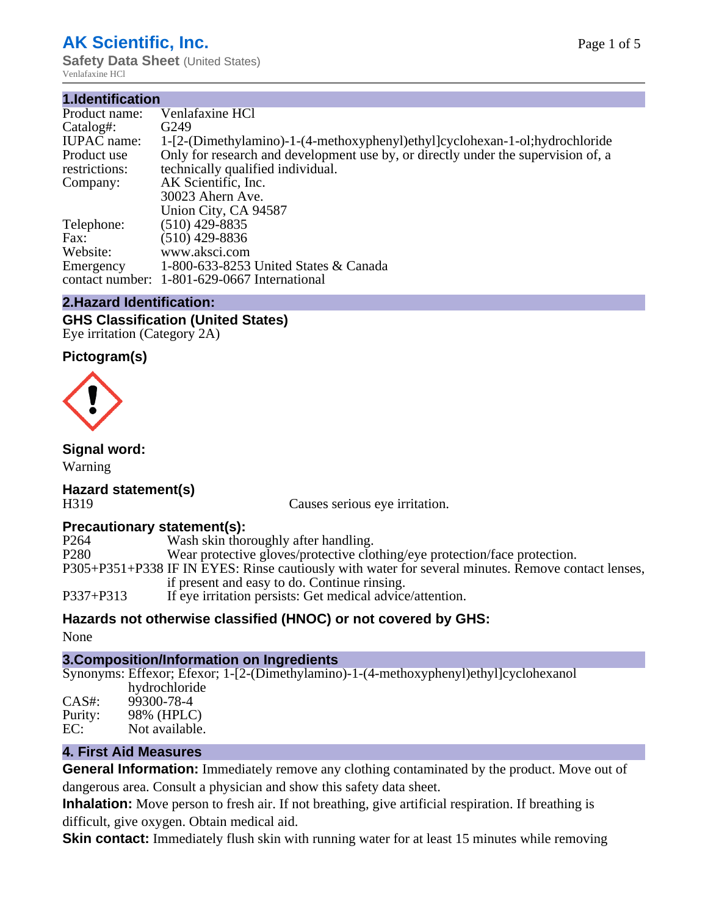## **AK Scientific, Inc.**

**Safety Data Sheet** (United States) Venlafaxine HCl

| 1.Identification   |                                                                                   |  |  |  |
|--------------------|-----------------------------------------------------------------------------------|--|--|--|
| Product name:      | Venlafaxine HCl                                                                   |  |  |  |
| Catalog#:          | G <sub>249</sub>                                                                  |  |  |  |
| <b>IUPAC</b> name: | 1-[2-(Dimethylamino)-1-(4-methoxyphenyl)ethyl]cyclohexan-1-ol;hydrochloride       |  |  |  |
| Product use        | Only for research and development use by, or directly under the supervision of, a |  |  |  |
| restrictions:      | technically qualified individual.                                                 |  |  |  |
| Company:           | AK Scientific, Inc.                                                               |  |  |  |
|                    | 30023 Ahern Ave.                                                                  |  |  |  |
|                    | Union City, CA 94587                                                              |  |  |  |
| Telephone:         | $(510)$ 429-8835                                                                  |  |  |  |
| Fax:               | $(510)$ 429-8836                                                                  |  |  |  |
| Website:           | www.aksci.com                                                                     |  |  |  |
| Emergency          | 1-800-633-8253 United States & Canada                                             |  |  |  |
|                    | contact number: 1-801-629-0667 International                                      |  |  |  |

### **2.Hazard Identification:**

**GHS Classification (United States)** Eye irritation (Category 2A)

#### **Pictogram(s)**



**Signal word:**

Warning

### **Hazard statement(s)**

H319 Causes serious eye irritation.

# **Precautionary statement(s):**<br>P264 Wash skin tho

P264 Wash skin thoroughly after handling.<br>P280 Wear protective gloves/protective clot Wear protective gloves/protective clothing/eye protection/face protection. P305+P351+P338 IF IN EYES: Rinse cautiously with water for several minutes. Remove contact lenses, if present and easy to do. Continue rinsing. P337+P313 If eye irritation persists: Get medical advice/attention.

#### **Hazards not otherwise classified (HNOC) or not covered by GHS:**

None

#### **3.Composition/Information on Ingredients**

Synonyms: Effexor; Efexor; 1-[2-(Dimethylamino)-1-(4-methoxyphenyl)ethyl]cyclohexanol hydrochloride

CAS#: 99300-78-4 Purity: 98% (HPLC) EC: Not available.

#### **4. First Aid Measures**

**General Information:** Immediately remove any clothing contaminated by the product. Move out of dangerous area. Consult a physician and show this safety data sheet.

**Inhalation:** Move person to fresh air. If not breathing, give artificial respiration. If breathing is difficult, give oxygen. Obtain medical aid.

**Skin contact:** Immediately flush skin with running water for at least 15 minutes while removing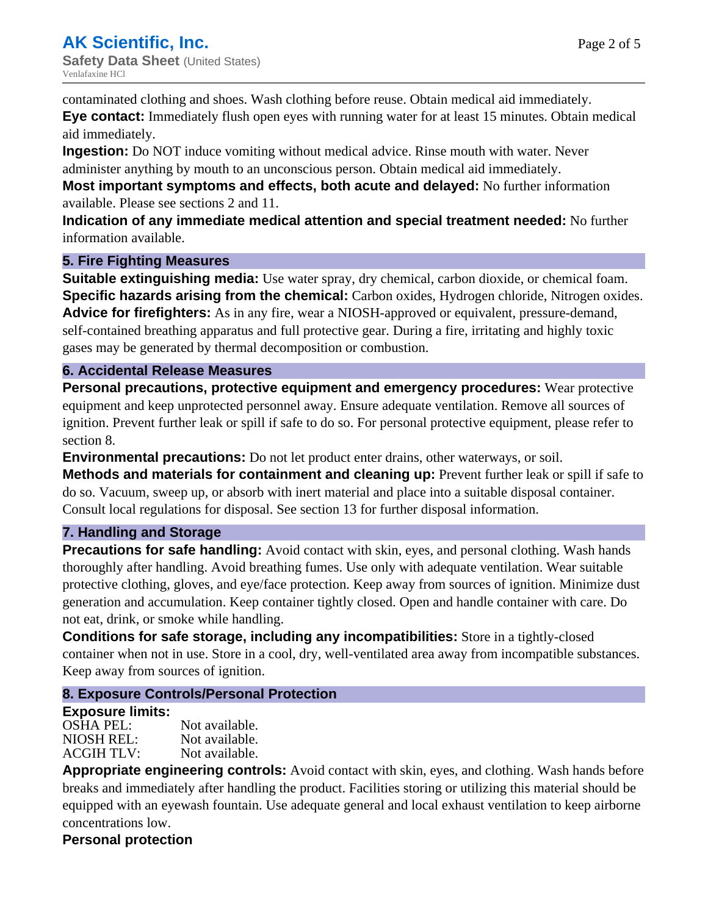contaminated clothing and shoes. Wash clothing before reuse. Obtain medical aid immediately.

**Eye contact:** Immediately flush open eyes with running water for at least 15 minutes. Obtain medical aid immediately.

**Ingestion:** Do NOT induce vomiting without medical advice. Rinse mouth with water. Never administer anything by mouth to an unconscious person. Obtain medical aid immediately.

**Most important symptoms and effects, both acute and delayed:** No further information available. Please see sections 2 and 11.

**Indication of any immediate medical attention and special treatment needed:** No further information available.

### **5. Fire Fighting Measures**

**Suitable extinguishing media:** Use water spray, dry chemical, carbon dioxide, or chemical foam. **Specific hazards arising from the chemical:** Carbon oxides, Hydrogen chloride, Nitrogen oxides. **Advice for firefighters:** As in any fire, wear a NIOSH-approved or equivalent, pressure-demand, self-contained breathing apparatus and full protective gear. During a fire, irritating and highly toxic gases may be generated by thermal decomposition or combustion.

#### **6. Accidental Release Measures**

**Personal precautions, protective equipment and emergency procedures:** Wear protective equipment and keep unprotected personnel away. Ensure adequate ventilation. Remove all sources of ignition. Prevent further leak or spill if safe to do so. For personal protective equipment, please refer to section 8.

**Environmental precautions:** Do not let product enter drains, other waterways, or soil.

**Methods and materials for containment and cleaning up:** Prevent further leak or spill if safe to do so. Vacuum, sweep up, or absorb with inert material and place into a suitable disposal container. Consult local regulations for disposal. See section 13 for further disposal information.

### **7. Handling and Storage**

**Precautions for safe handling:** Avoid contact with skin, eyes, and personal clothing. Wash hands thoroughly after handling. Avoid breathing fumes. Use only with adequate ventilation. Wear suitable protective clothing, gloves, and eye/face protection. Keep away from sources of ignition. Minimize dust generation and accumulation. Keep container tightly closed. Open and handle container with care. Do not eat, drink, or smoke while handling.

**Conditions for safe storage, including any incompatibilities:** Store in a tightly-closed container when not in use. Store in a cool, dry, well-ventilated area away from incompatible substances. Keep away from sources of ignition.

### **8. Exposure Controls/Personal Protection**

#### **Exposure limits:**

OSHA PEL: Not available. NIOSH REL: Not available. ACGIH TLV: Not available.

**Appropriate engineering controls:** Avoid contact with skin, eyes, and clothing. Wash hands before breaks and immediately after handling the product. Facilities storing or utilizing this material should be equipped with an eyewash fountain. Use adequate general and local exhaust ventilation to keep airborne concentrations low.

### **Personal protection**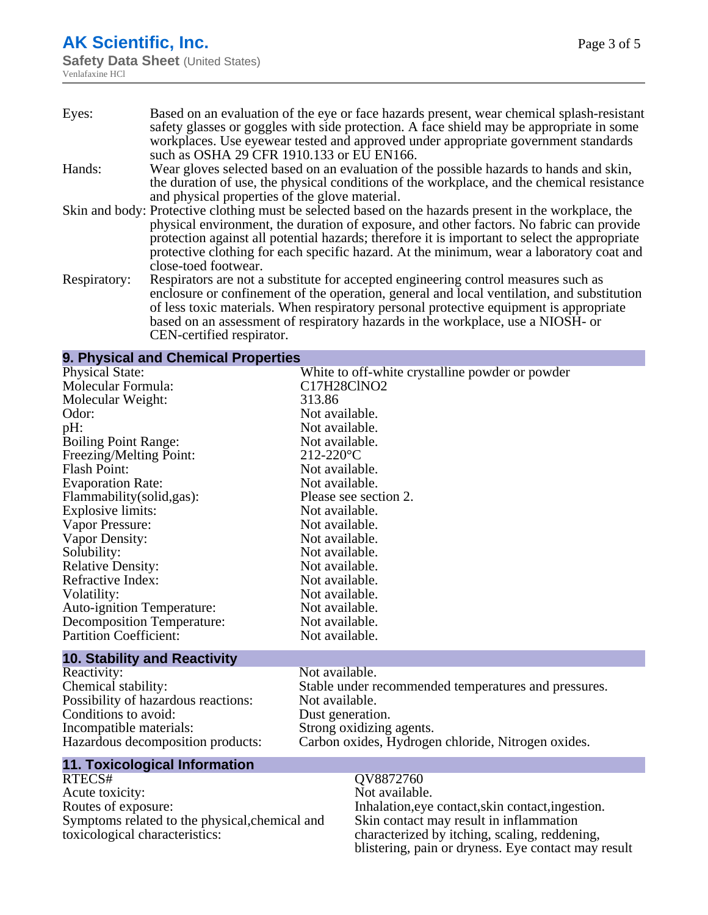# **AK Scientific, Inc.**

**Safety Data Sheet (United States)** Venlafaxine HCl

| Eyes:        | Based on an evaluation of the eye or face hazards present, wear chemical splash-resistant<br>safety glasses or goggles with side protection. A face shield may be appropriate in some |
|--------------|---------------------------------------------------------------------------------------------------------------------------------------------------------------------------------------|
|              | workplaces. Use eyewear tested and approved under appropriate government standards                                                                                                    |
|              | such as OSHA 29 CFR 1910.133 or EU EN166.                                                                                                                                             |
| Hands:       | Wear gloves selected based on an evaluation of the possible hazards to hands and skin,                                                                                                |
|              | the duration of use, the physical conditions of the workplace, and the chemical resistance                                                                                            |
|              | and physical properties of the glove material.                                                                                                                                        |
|              | Skin and body: Protective clothing must be selected based on the hazards present in the workplace, the                                                                                |
|              | physical environment, the duration of exposure, and other factors. No fabric can provide                                                                                              |
|              | protection against all potential hazards; therefore it is important to select the appropriate                                                                                         |
|              | protective clothing for each specific hazard. At the minimum, wear a laboratory coat and                                                                                              |
|              | close-toed footwear.                                                                                                                                                                  |
| Respiratory: | Respirators are not a substitute for accepted engineering control measures such as                                                                                                    |
|              | enclosure or confinement of the operation, general and local ventilation, and substitution                                                                                            |
|              | of less toxic materials. When respiratory personal protective equipment is appropriate                                                                                                |
|              | based on an assessment of respiratory hazards in the workplace, use a NIOSH- or                                                                                                       |
|              | CEN-certified respirator.                                                                                                                                                             |

#### **9. Physical and Chemical Properties**

| <b>Physical State:</b>              | White to off-white crystalline powder or powder      |
|-------------------------------------|------------------------------------------------------|
| Molecular Formula:                  | C17H28ClNO2                                          |
| Molecular Weight:                   | 313.86                                               |
| Odor:                               | Not available.                                       |
| pH:                                 | Not available.                                       |
| <b>Boiling Point Range:</b>         | Not available.                                       |
| Freezing/Melting Point:             | $212 - 220$ °C                                       |
| Flash Point:                        | Not available.                                       |
| <b>Evaporation Rate:</b>            | Not available.                                       |
| Flammability (solid, gas):          | Please see section 2.                                |
| Explosive limits:                   | Not available.                                       |
| Vapor Pressure:                     | Not available.                                       |
| Vapor Density:                      | Not available.                                       |
| Solubility:                         | Not available.                                       |
| <b>Relative Density:</b>            | Not available.                                       |
| Refractive Index:                   | Not available.                                       |
| Volatility:                         | Not available.                                       |
| <b>Auto-ignition Temperature:</b>   | Not available.                                       |
| Decomposition Temperature:          | Not available.                                       |
| <b>Partition Coefficient:</b>       | Not available.                                       |
| <b>10. Stability and Reactivity</b> |                                                      |
| Reactivity:                         | Not available.                                       |
| Chemical stability:                 | Stable under recommended temperatures and pressures. |

| Kurachivity.                        | TVOI AVAIIAUIT.                                      |
|-------------------------------------|------------------------------------------------------|
| Chemical stability:                 | Stable under recommended temperatures and pressures. |
| Possibility of hazardous reactions: | Not available.                                       |
| Conditions to avoid:                | Dust generation.                                     |
| Incompatible materials:             | Strong oxidizing agents.                             |
| Hazardous decomposition products:   | Carbon oxides, Hydrogen chloride, Nitrogen oxides.   |
|                                     |                                                      |

# **11. Toxicological Information**

Acute toxicity:<br>Routes of exposure: Routes of exposure:  $I$  Inhalation, eye contact, skin contact, ingestion. Symptoms related to the physical,chemical and toxicological characteristics:

QV8872760<br>Not available. Skin contact may result in inflammation characterized by itching, scaling, reddening, blistering, pain or dryness. Eye contact may result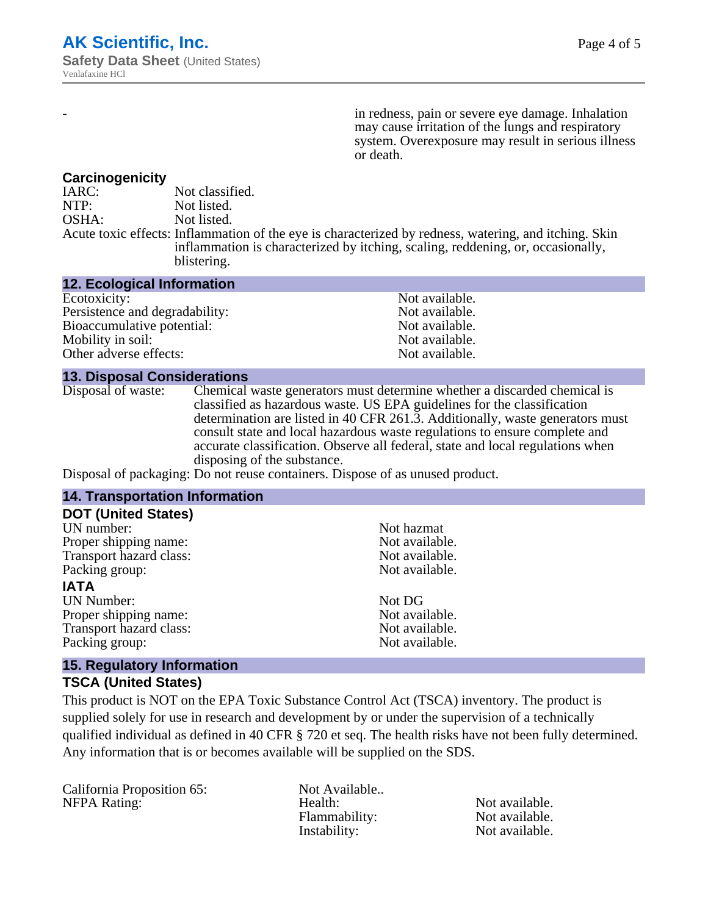in redness, pain or severe eye damage. Inhalation may cause irritation of the lungs and respiratory system. Overexposure may result in serious illness or death.

#### **Carcinogenicity**

IARC: Not classified.<br>
NOTP: Not listed. Not listed. OSHA: Not listed. Acute toxic effects: Inflammation of the eye is characterized by redness, watering, and itching. Skin inflammation is characterized by itching, scaling, reddening, or, occasionally, blistering.

| <b>12. Ecological Information</b> |                |
|-----------------------------------|----------------|
| Ecotoxicity:                      | Not available. |
| Persistence and degradability:    | Not available. |
| Bioaccumulative potential:        | Not available. |
| Mobility in soil:                 | Not available. |
| Other adverse effects:            | Not available. |

#### **13. Disposal Considerations**

Disposal of waste: Chemical waste generators must determine whether a discarded chemical is classified as hazardous waste. US EPA guidelines for the classification determination are listed in 40 CFR 261.3. Additionally, waste generators must consult state and local hazardous waste regulations to ensure complete and accurate classification. Observe all federal, state and local regulations when disposing of the substance.

Disposal of packaging: Do not reuse containers. Dispose of as unused product.

| <b>14. Transportation Information</b>                            |                |  |
|------------------------------------------------------------------|----------------|--|
| <b>DOT (United States)</b>                                       |                |  |
| UN number:                                                       | Not hazmat     |  |
| Proper shipping name:                                            | Not available. |  |
| Transport hazard class:                                          | Not available. |  |
| Packing group:                                                   | Not available. |  |
| <b>IATA</b>                                                      |                |  |
| <b>UN Number:</b>                                                | Not DG         |  |
| Proper shipping name:                                            | Not available. |  |
| Transport hazard class:                                          | Not available. |  |
| Packing group:                                                   | Not available. |  |
| $\overline{AB}$ . For an electronic function and $\overline{AB}$ |                |  |

#### **15. Regulatory Information**

#### **TSCA (United States)**

This product is NOT on the EPA Toxic Substance Control Act (TSCA) inventory. The product is supplied solely for use in research and development by or under the supervision of a technically qualified individual as defined in 40 CFR § 720 et seq. The health risks have not been fully determined. Any information that is or becomes available will be supplied on the SDS.

California Proposition 65: Not Available..

NFPA Rating: The Mealth: Health: Not available.<br>
Hammability: Not available. Flammability: Instability: Not available.